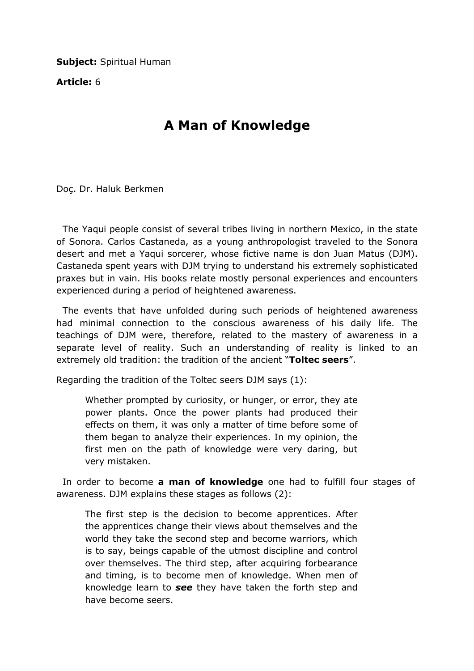**Subject: Spiritual Human** 

Article: 6

## A Man of Knowledge

Doç. Dr. Haluk Berkmen

 The Yaqui people consist of several tribes living in northern Mexico, in the state of Sonora. Carlos Castaneda, as a young anthropologist traveled to the Sonora desert and met a Yaqui sorcerer, whose fictive name is don Juan Matus (DJM). Castaneda spent years with DJM trying to understand his extremely sophisticated praxes but in vain. His books relate mostly personal experiences and encounters experienced during a period of heightened awareness.

 The events that have unfolded during such periods of heightened awareness had minimal connection to the conscious awareness of his daily life. The teachings of DJM were, therefore, related to the mastery of awareness in a separate level of reality. Such an understanding of reality is linked to an extremely old tradition: the tradition of the ancient "Toltec seers".

Regarding the tradition of the Toltec seers DJM says (1):

Whether prompted by curiosity, or hunger, or error, they ate power plants. Once the power plants had produced their effects on them, it was only a matter of time before some of them began to analyze their experiences. In my opinion, the first men on the path of knowledge were very daring, but very mistaken.

In order to become a man of knowledge one had to fulfill four stages of awareness. DJM explains these stages as follows (2):

The first step is the decision to become apprentices. After the apprentices change their views about themselves and the world they take the second step and become warriors, which is to say, beings capable of the utmost discipline and control over themselves. The third step, after acquiring forbearance and timing, is to become men of knowledge. When men of knowledge learn to see they have taken the forth step and have become seers.